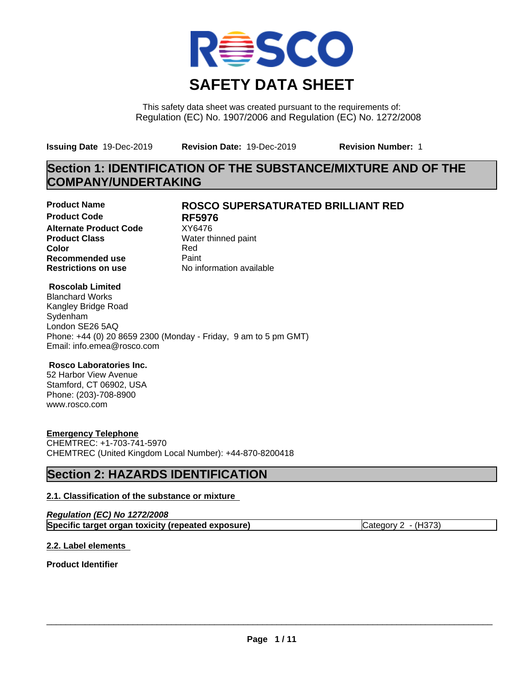

This safety data sheet was created pursuant to the requirements of: Regulation (EC) No. 1907/2006 and Regulation (EC) No. 1272/2008

**Issuing Date** 19-Dec-2019 **Revision Date:** 19-Dec-2019 **Revision Number:** 1

# **Section 1: IDENTIFICATION OF THE SUBSTANCE/MIXTURE AND OF THE COMPANY/UNDERTAKING**

**Product Code RF5976 Alternate Product Code** XY6476<br> **Product Class** Water th **Product Class** Water thinned paint<br> **Color** Red **Color** Red **Recommended use** Paint<br> **Restrictions on use** Mo information available **Restrictions on use** 

# **Product Name ROSCO SUPERSATURATED BRILLIANT RED**

# **Roscolab Limited**

Blanchard Works Kangley Bridge Road Sydenham London SE26 5AQ Phone: +44 (0) 20 8659 2300 (Monday - Friday, 9 am to 5 pm GMT) Email: info.emea@rosco.com

# **Rosco Laboratories Inc.**

52 Harbor View Avenue Stamford, CT 06902, USA Phone: (203)-708-8900 www.rosco.com

# **Emergency Telephone**

CHEMTREC: +1-703-741-5970 CHEMTREC (United Kingdom Local Number): +44-870-8200418

# **Section 2: HAZARDS IDENTIFICATION**

# **2.1. Classification of the substance or mixture**

| Regulation (EC) No 1272/2008                       |                     |
|----------------------------------------------------|---------------------|
| Specific target organ toxicity (repeated exposure) | Category 2 - (H373) |

# **2.2. Label elements**

**Product Identifier**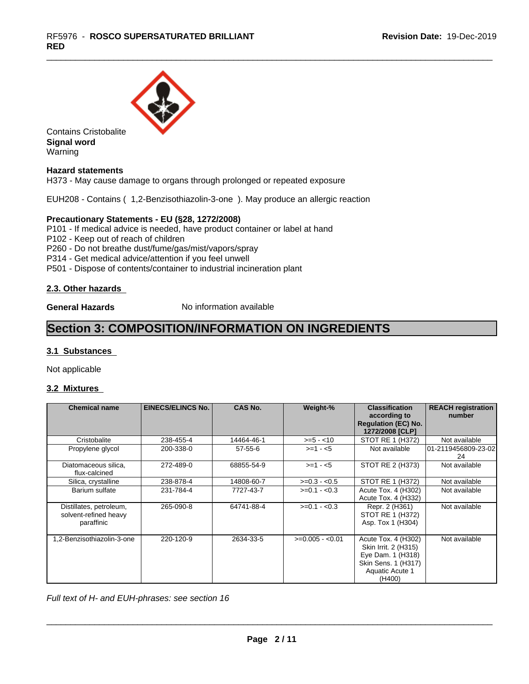

Contains Cristobalite **Signal word** Warning

# **Hazard statements**

H373 - May cause damage to organs through prolonged or repeated exposure

EUH208 - Contains ( 1,2-Benzisothiazolin-3-one ). May produce an allergic reaction

## **Precautionary Statements - EU (§28, 1272/2008)**

P101 - If medical advice is needed, have product container or label at hand

P102 - Keep out of reach of children

P260 - Do not breathe dust/fume/gas/mist/vapors/spray

P314 - Get medical advice/attention if you feel unwell

P501 - Dispose of contents/container to industrial incineration plant

## **2.3. Other hazards**

**General Hazards** No information available

# **Section 3: COMPOSITION/INFORMATION ON INGREDIENTS**

## **3.1 Substances**

Not applicable

## **3.2 Mixtures**

| <b>Chemical name</b>                                           | <b>EINECS/ELINCS No.</b> | <b>CAS No.</b> | Weight-%         | <b>Classification</b><br>according to<br><b>Regulation (EC) No.</b><br>1272/2008 [CLP]                               | <b>REACH registration</b><br>number |
|----------------------------------------------------------------|--------------------------|----------------|------------------|----------------------------------------------------------------------------------------------------------------------|-------------------------------------|
| Cristobalite                                                   | 238-455-4                | 14464-46-1     | $>= 5 - 10$      | STOT RE 1 (H372)                                                                                                     | Not available                       |
| Propylene glycol                                               | 200-338-0                | $57 - 55 - 6$  | $>=1 - 5$        | Not available                                                                                                        | 101-2119456809-23-021<br>24         |
| Diatomaceous silica,<br>flux-calcined                          | 272-489-0                | 68855-54-9     | $>=1 - 5$        | STOT RE 2 (H373)                                                                                                     | Not available                       |
| Silica, crystalline                                            | 238-878-4                | 14808-60-7     | $>=0.3 - 0.5$    | STOT RE 1 (H372)                                                                                                     | Not available                       |
| Barium sulfate                                                 | 231-784-4                | 7727-43-7      | $>=0.1 - 0.3$    | Acute Tox. 4 (H302)<br>Acute Tox. 4 (H332)                                                                           | Not available                       |
| Distillates, petroleum,<br>solvent-refined heavy<br>paraffinic | 265-090-8                | 64741-88-4     | $>=0.1 - 0.3$    | Repr. 2 (H361)<br>STOT RE 1 (H372)<br>Asp. Tox 1 (H304)                                                              | Not available                       |
| 1,2-Benzisothiazolin-3-one                                     | 220-120-9                | 2634-33-5      | $>=0.005 - 0.01$ | Acute Tox. 4 (H302)<br>Skin Irrit. 2 (H315)<br>Eye Dam. 1 (H318)<br>Skin Sens. 1 (H317)<br>Aquatic Acute 1<br>(H400) | Not available                       |

*Full text of H- and EUH-phrases: see section 16*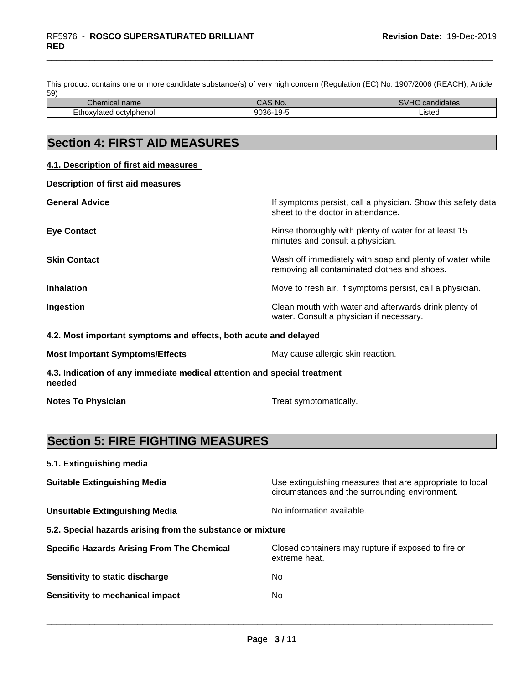This product contains one or more candidate substance(s) of very high concern (Regulation (EC) No. 1907/2006 (REACH), Article 59)

| $\sim$<br><b>Softermical</b><br>пане | N<br>. .     | $\cdots$<br>.<br>gidates |
|--------------------------------------|--------------|--------------------------|
| Ethc<br>octvlphenol<br>.<br>11 H     | 9036<br>`36- | <b>isted</b>             |

# **Section 4: FIRST AID MEASURES**

| 4.1. Description of first aid measures |                                                                                                          |
|----------------------------------------|----------------------------------------------------------------------------------------------------------|
| Description of first aid measures      |                                                                                                          |
| <b>General Advice</b>                  | If symptoms persist, call a physician. Show this safety data<br>sheet to the doctor in attendance.       |
| <b>Eye Contact</b>                     | Rinse thoroughly with plenty of water for at least 15<br>minutes and consult a physician.                |
| <b>Skin Contact</b>                    | Wash off immediately with soap and plenty of water while<br>removing all contaminated clothes and shoes. |
| <b>Inhalation</b>                      | Move to fresh air. If symptoms persist, call a physician.                                                |
| Ingestion                              | Clean mouth with water and afterwards drink plenty of<br>water. Consult a physician if necessary.        |

#### **4.2. Most important symptoms and effects, both acute and delayed**

| <b>Most Important Symptoms/Effects</b> | May cause allergic skin reaction. |
|----------------------------------------|-----------------------------------|
|                                        |                                   |

**4.3. Indication of any immediate medical attention and special treatment needed** 

**Notes To Physician Treat symptomatically.** 

# **Section 5: FIRE FIGHTING MEASURES**

| 5.1. Extinguishing media |  |
|--------------------------|--|
|                          |  |

**Suitable Extinguishing Media** Manual Use extinguishing measures that are appropriate to local circumstances and the surrounding environment.

**Unsuitable Extinguishing Media** Noinformation available.

 $\overline{\phantom{a}}$  ,  $\overline{\phantom{a}}$  ,  $\overline{\phantom{a}}$  ,  $\overline{\phantom{a}}$  ,  $\overline{\phantom{a}}$  ,  $\overline{\phantom{a}}$  ,  $\overline{\phantom{a}}$  ,  $\overline{\phantom{a}}$  ,  $\overline{\phantom{a}}$  ,  $\overline{\phantom{a}}$  ,  $\overline{\phantom{a}}$  ,  $\overline{\phantom{a}}$  ,  $\overline{\phantom{a}}$  ,  $\overline{\phantom{a}}$  ,  $\overline{\phantom{a}}$  ,  $\overline{\phantom{a}}$ 

**5.2. Special hazards arising from the substance or mixture**

| <b>Specific Hazards Arising From The Chemical</b> | Closed containers may rupture if exposed to fire or<br>extreme heat. |
|---------------------------------------------------|----------------------------------------------------------------------|
| Sensitivity to static discharge                   | No                                                                   |
| Sensitivity to mechanical impact                  | No                                                                   |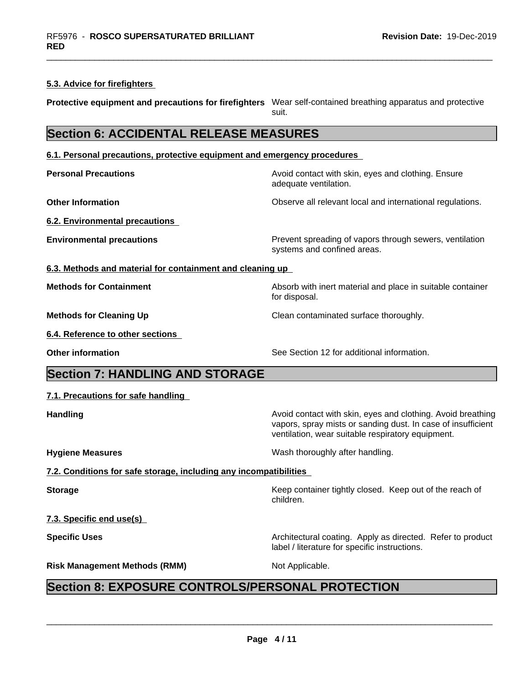## **5.3. Advice for firefighters**

**Protective equipment and precautions for firefighters** Wear self-contained breathing apparatus and protective suit.

**Section 6: ACCIDENTAL RELEASE MEASURES**

**6.1. Personal precautions, protective equipment and emergency procedures**

**Personal Precautions Avoid contact with skin, eyes and clothing. Ensure** Avoid contact with skin, eyes and clothing. Ensure adequate ventilation.

**Other Information Observe all relevant local and international regulations.** 

**6.2. Environmental precautions**

**Environmental precautions Environmental precautions Prevent spreading of vapors through sewers, ventilation** systems and confined areas.

vapors, spray mists or sanding dust. In case of insufficient

ventilation, wear suitable respiratory equipment.

**6.3. Methods and material for containment and cleaning up**

**Methods for Containment** Absorb with inert material and place in suitable container

**Methods for Cleaning Up** Clean contaminated surface thoroughly.

**6.4. Reference to other sections**

**Other information** See Section 12 for additional information.

# **Section 7: HANDLING AND STORAGE**

## **7.1. Precautions for safe handling**

**Handling Handling Avoid contact with skin, eyes and clothing. Avoid breathing** 

**Hygiene Measures** Mash thoroughly after handling.

label / literature for specific instructions.

**7.2. Conditions for safe storage, including any incompatibilities**

**Storage** Storage **Keep container tightly closed.** Keep out of the reach of

**7.3. Specific end use(s)**

**Specific Uses Architectural coating. Apply as directed. Refer to product Specific Uses** 

**Risk Management Methods (RMM)** Not Applicable.

 $\overline{\phantom{a}}$  ,  $\overline{\phantom{a}}$  ,  $\overline{\phantom{a}}$  ,  $\overline{\phantom{a}}$  ,  $\overline{\phantom{a}}$  ,  $\overline{\phantom{a}}$  ,  $\overline{\phantom{a}}$  ,  $\overline{\phantom{a}}$  ,  $\overline{\phantom{a}}$  ,  $\overline{\phantom{a}}$  ,  $\overline{\phantom{a}}$  ,  $\overline{\phantom{a}}$  ,  $\overline{\phantom{a}}$  ,  $\overline{\phantom{a}}$  ,  $\overline{\phantom{a}}$  ,  $\overline{\phantom{a}}$ 

children.

for disposal.

# **Section 8: EXPOSURE CONTROLS/PERSONAL PROTECTION**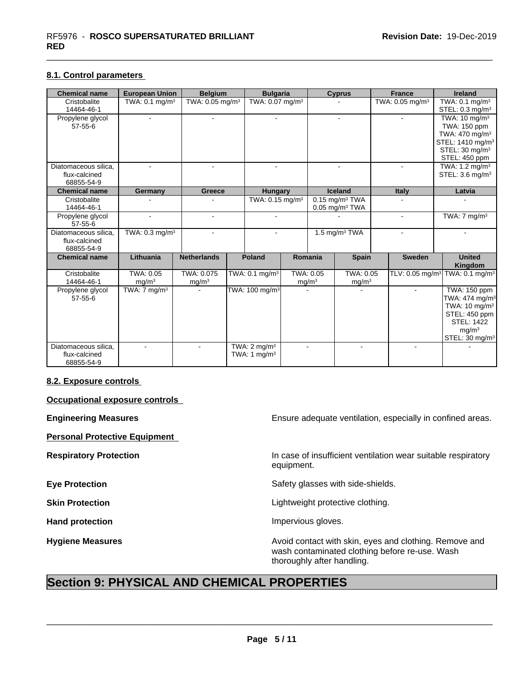## **8.1. Control parameters**

| <b>Chemical name</b>                                | <b>European Union</b>          | <b>Belgium</b>                  | <b>Bulgaria</b>                           |                             | <b>Cyprus</b>                                                |                             | <b>France</b>                  |                | Ireland                                                                                                                                                                 |  |                                                          |
|-----------------------------------------------------|--------------------------------|---------------------------------|-------------------------------------------|-----------------------------|--------------------------------------------------------------|-----------------------------|--------------------------------|----------------|-------------------------------------------------------------------------------------------------------------------------------------------------------------------------|--|----------------------------------------------------------|
| Cristobalite<br>14464-46-1                          | TWA: $0.1 \text{ mg/m}^3$      | TWA: 0.05 mg/m <sup>3</sup>     |                                           | TWA: 0.07 mg/m <sup>3</sup> |                                                              |                             | TWA: 0.05 mg/m <sup>3</sup>    |                | TWA: $0.1 \text{ mg/m}^3$<br>STEL: $0.3 \text{ mg/m}^3$                                                                                                                 |  |                                                          |
| Propylene glycol<br>$57 - 55 - 6$                   | $\sim$                         | $\blacksquare$                  | $\sim$                                    |                             |                                                              |                             | $\sim$                         |                | TWA: $10 \text{ mg/m}^3$<br>TWA: 150 ppm<br>TWA: 470 mg/m <sup>3</sup><br>STEL: 1410 mg/m <sup>3</sup><br>STEL: 30 mg/m <sup>3</sup><br>STEL: 450 ppm                   |  |                                                          |
| Diatomaceous silica,<br>flux-calcined<br>68855-54-9 |                                | $\blacksquare$                  | $\sim$                                    |                             |                                                              |                             |                                | $\sim$         |                                                                                                                                                                         |  | TWA: $1.2 \text{ mg/m}^3$<br>STEL: 3.6 mg/m <sup>3</sup> |
| <b>Chemical name</b>                                | Germany                        | Greece                          | <b>Hungary</b>                            |                             |                                                              | <b>Iceland</b>              | Italy                          |                | Latvia                                                                                                                                                                  |  |                                                          |
| Cristobalite<br>14464-46-1                          |                                |                                 | TWA: 0.15 mg/m <sup>3</sup>               |                             | $0.15$ mg/m <sup>3</sup> TWA<br>$0.05$ mg/m <sup>3</sup> TWA |                             |                                |                |                                                                                                                                                                         |  |                                                          |
| Propylene glycol<br>$57 - 55 - 6$                   | $\mathbf{r}$                   | $\blacksquare$                  | $\blacksquare$                            |                             |                                                              |                             |                                |                | TWA: $7 \text{ mg/m}^3$                                                                                                                                                 |  |                                                          |
| Diatomaceous silica,<br>flux-calcined<br>68855-54-9 | TWA: 0.3 mg/m <sup>3</sup>     | ÷.                              |                                           |                             |                                                              | $1.5$ mg/m <sup>3</sup> TWA |                                |                |                                                                                                                                                                         |  |                                                          |
| <b>Chemical name</b>                                | Lithuania                      | <b>Netherlands</b>              | <b>Poland</b>                             |                             | Romania<br><b>Spain</b>                                      |                             |                                | <b>Sweden</b>  | <b>United</b><br>Kingdom                                                                                                                                                |  |                                                          |
| Cristobalite<br>14464-46-1                          | TWA: 0.05<br>mg/m <sup>3</sup> | TWA: 0.075<br>mg/m <sup>3</sup> | TWA: 0.1 mg/m <sup>3</sup>                |                             | TWA: 0.05<br>mg/m <sup>3</sup>                               |                             | TWA: 0.05<br>mg/m <sup>3</sup> |                |                                                                                                                                                                         |  |                                                          |
| Propylene glycol<br>$57 - 55 - 6$                   | TWA: $7 \text{ mg/m}^3$        |                                 | TWA: 100 mg/m <sup>3</sup>                |                             |                                                              |                             |                                | $\sim$         | <b>TWA: 150 ppm</b><br>TWA: 474 mg/m <sup>3</sup><br>TWA: 10 mg/m <sup>3</sup><br>STEL: 450 ppm<br><b>STEL: 1422</b><br>mg/m <sup>3</sup><br>STEL: 30 mg/m <sup>3</sup> |  |                                                          |
| Diatomaceous silica.<br>flux-calcined<br>68855-54-9 |                                | $\overline{\phantom{a}}$        | TWA: $2 \text{ mg/m}^3$<br>TWA: 1 $mg/m3$ | $\overline{a}$              |                                                              |                             |                                | $\blacksquare$ |                                                                                                                                                                         |  |                                                          |

## **8.2. Exposure controls**

**Occupational exposure controls**

**Personal Protective Equipment**

**Engineering Measures Ensure 19th** Ensure adequate ventilation, especially in confined areas.

**Respiratory Protection In case of insufficient ventilation wear suitable respiratory** equipment.

**Eye Protection** Safety glasses with side-shields.

**Skin Protection Skin Protection Lightweight protective clothing.** 

Hand protection **Impervious** gloves.

 $\overline{\phantom{a}}$  ,  $\overline{\phantom{a}}$  ,  $\overline{\phantom{a}}$  ,  $\overline{\phantom{a}}$  ,  $\overline{\phantom{a}}$  ,  $\overline{\phantom{a}}$  ,  $\overline{\phantom{a}}$  ,  $\overline{\phantom{a}}$  ,  $\overline{\phantom{a}}$  ,  $\overline{\phantom{a}}$  ,  $\overline{\phantom{a}}$  ,  $\overline{\phantom{a}}$  ,  $\overline{\phantom{a}}$  ,  $\overline{\phantom{a}}$  ,  $\overline{\phantom{a}}$  ,  $\overline{\phantom{a}}$ 

**Hygiene Measures Avoid contact with skin, eyes and clothing. Remove and Avoid contact with skin, eyes and clothing. Remove and** wash contaminated clothing before re-use. Wash thoroughly after handling.

# **Section 9: PHYSICAL AND CHEMICAL PROPERTIES**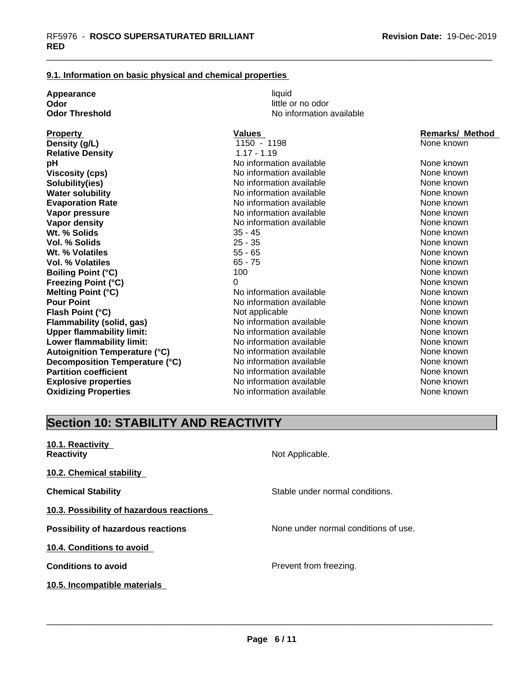### **9.1. Information on basic physical and chemical properties**

| Appearance<br>Odor<br><b>Odor Threshold</b>          |  |
|------------------------------------------------------|--|
| <b>Property</b><br>Density (g/L)<br>Dalativa Danaity |  |

**Appearance** and the contract of the contract of the contract of the contract of the contract of the contract of the contract of the contract of the contract of the contract of the contract of the contract of the contract little or no odor **No information available** 

| <b>Property</b>                      | <b>Values</b>            | <b>Remarks/ Method</b> |
|--------------------------------------|--------------------------|------------------------|
| Density (g/L)                        | 1150 - 1198              | None known             |
| <b>Relative Density</b>              | $1.17 - 1.19$            |                        |
| рH                                   | No information available | None known             |
| <b>Viscosity (cps)</b>               | No information available | None known             |
| Solubility(ies)                      | No information available | None known             |
| <b>Water solubility</b>              | No information available | None known             |
| <b>Evaporation Rate</b>              | No information available | None known             |
| Vapor pressure                       | No information available | None known             |
| Vapor density                        | No information available | None known             |
| Wt. % Solids                         | $35 - 45$                | None known             |
| Vol. % Solids                        | $25 - 35$                | None known             |
| Wt. % Volatiles                      | $55 - 65$                | None known             |
| <b>Vol. % Volatiles</b>              | $65 - 75$                | None known             |
| <b>Boiling Point (°C)</b>            | 100                      | None known             |
| <b>Freezing Point (°C)</b>           | 0                        | None known             |
| <b>Melting Point (°C)</b>            | No information available | None known             |
| <b>Pour Point</b>                    | No information available | None known             |
| Flash Point (°C)                     | Not applicable           | None known             |
| <b>Flammability (solid, gas)</b>     | No information available | None known             |
| <b>Upper flammability limit:</b>     | No information available | None known             |
| Lower flammability limit:            | No information available | None known             |
| <b>Autoignition Temperature (°C)</b> | No information available | None known             |
| Decomposition Temperature (°C)       | No information available | None known             |
| <b>Partition coefficient</b>         | No information available | None known             |
| <b>Explosive properties</b>          | No information available | None known             |
| <b>Oxidizing Properties</b>          | No information available | None known             |

# **Section 10: STABILITY AND REACTIVITY**

| 10.1. Reactivity<br><b>Reactivity</b>     | Not Applicable.                      |
|-------------------------------------------|--------------------------------------|
| 10.2. Chemical stability                  |                                      |
| <b>Chemical Stability</b>                 | Stable under normal conditions.      |
| 10.3. Possibility of hazardous reactions  |                                      |
| <b>Possibility of hazardous reactions</b> | None under normal conditions of use. |
| 10.4. Conditions to avoid                 |                                      |
| <b>Conditions to avoid</b>                | Prevent from freezing.               |
| 10.5. Incompatible materials              |                                      |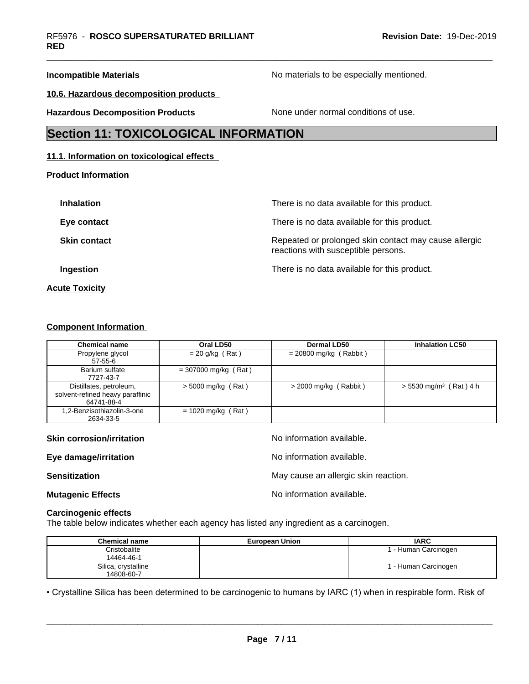**Incompatible Materials Incompatible Materials No materials to be especially mentioned.** 

**10.6. Hazardous decomposition products**

**Hazardous Decomposition Products** None under normal conditions of use.

# **Section 11: TOXICOLOGICAL INFORMATION**

## **11.1. Information on toxicological effects**

**Product Information**

| <b>Inhalation</b>     | There is no data available for this product.                                                 |
|-----------------------|----------------------------------------------------------------------------------------------|
| Eye contact           | There is no data available for this product.                                                 |
| <b>Skin contact</b>   | Repeated or prolonged skin contact may cause allergic<br>reactions with susceptible persons. |
| Ingestion             | There is no data available for this product.                                                 |
| <b>Acute Toxicity</b> |                                                                                              |

## **Component Information**

| <b>Chemical name</b>                                                      | Oral LD50              | Dermal LD50              | <b>Inhalation LC50</b>               |
|---------------------------------------------------------------------------|------------------------|--------------------------|--------------------------------------|
| Propylene glycol<br>$57 - 55 - 6$                                         | $= 20$ g/kg (Rat)      | $= 20800$ mg/kg (Rabbit) |                                      |
| Barium sulfate<br>7727-43-7                                               | $= 307000$ mg/kg (Rat) |                          |                                      |
| Distillates, petroleum,<br>solvent-refined heavy paraffinic<br>64741-88-4 | $>$ 5000 mg/kg (Rat)   | $>$ 2000 mg/kg (Rabbit)  | $> 5530$ mg/m <sup>3</sup> (Rat) 4 h |
| 1,2-Benzisothiazolin-3-one<br>2634-33-5                                   | $= 1020$ mg/kg (Rat)   |                          |                                      |

| <b>Skin corrosion/irritation</b> | No information available.            |
|----------------------------------|--------------------------------------|
| Eye damage/irritation            | No information available.            |
| <b>Sensitization</b>             | May cause an allergic skin reaction. |
| <b>Mutagenic Effects</b>         | No information available.            |
| <b>Carcinogenic effects</b>      |                                      |

The table below indicates whether each agency has listed any ingredient as a carcinogen.

| <b>Chemical name</b>              | <b>European Union</b> | <b>IARC</b>          |
|-----------------------------------|-----------------------|----------------------|
| Cristobalite<br>14464-46-1        |                       | 1 - Human Carcinogen |
| Silica, crystalline<br>14808-60-7 |                       | 1 - Human Carcinogen |

• Crystalline Silica has been determined to be carcinogenic to humans by IARC (1) when in respirable form. Risk of<br> **Page 7/11**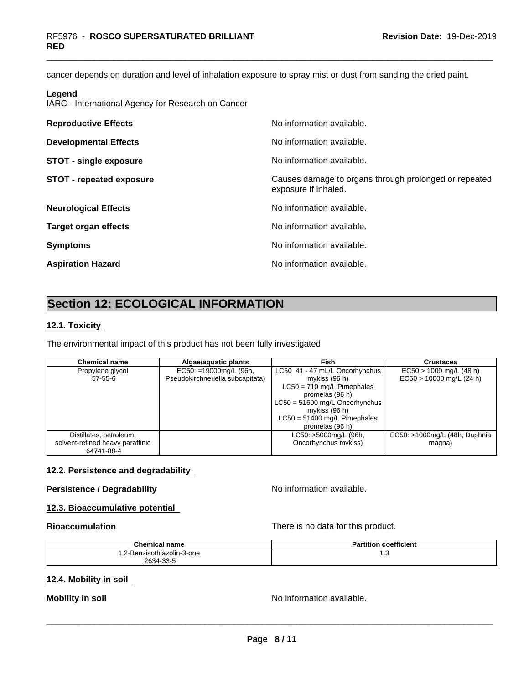cancer depends on duration and level of inhalation exposure to spray mist or dust from sanding the dried paint.

#### **Legend**

IARC - International Agency for Research on Cancer

| <b>Reproductive Effects</b>     | No information available.                                                     |
|---------------------------------|-------------------------------------------------------------------------------|
| <b>Developmental Effects</b>    | No information available.                                                     |
| <b>STOT - single exposure</b>   | No information available.                                                     |
| <b>STOT - repeated exposure</b> | Causes damage to organs through prolonged or repeated<br>exposure if inhaled. |
| <b>Neurological Effects</b>     | No information available.                                                     |
| <b>Target organ effects</b>     | No information available.                                                     |
| <b>Symptoms</b>                 | No information available.                                                     |
| <b>Aspiration Hazard</b>        | No information available.                                                     |

# **Section 12: ECOLOGICAL INFORMATION**

#### **12.1. Toxicity**

The environmental impact of this product has not been fully investigated

| Chemical name                    | Algae/aquatic plants             | Fish                             | Crustacea                     |
|----------------------------------|----------------------------------|----------------------------------|-------------------------------|
| Propylene glycol                 | EC50: =19000mg/L (96h,           | LC50 41 - 47 mL/L Oncorhynchus   | $EC50 > 1000$ mg/L (48 h)     |
| 57-55-6                          | Pseudokirchneriella subcapitata) | mykiss $(96 h)$                  | $EC50 > 10000$ mg/L (24 h)    |
|                                  |                                  | $LC50 = 710$ mg/L Pimephales     |                               |
|                                  |                                  | promelas (96 h)                  |                               |
|                                  |                                  | $LC50 = 51600$ mg/L Oncorhynchus |                               |
|                                  |                                  | mykiss $(96 h)$                  |                               |
|                                  |                                  | $LC50 = 51400$ mg/L Pimephales   |                               |
|                                  |                                  | promelas (96 h)                  |                               |
| Distillates, petroleum,          |                                  | LC50: >5000mg/L (96h,            | EC50: >1000mg/L (48h, Daphnia |
| solvent-refined heavy paraffinic |                                  | Oncorhynchus mykiss)             | magna)                        |
| 64741-88-4                       |                                  |                                  |                               |

### **12.2. Persistence and degradability**

# **Persistence / Degradability** No information available.

# **12.3. Bioaccumulative potential**

**Bioaccumulation Bioaccumulation Bioaccumulation There is no data for this product.** 

| <b>Chemical name</b>       | coefficient<br>Partition |
|----------------------------|--------------------------|
| 1.2-Benzisothiazolin-3-one | ں. ا                     |
| 2634-33-5                  |                          |

## **12.4. Mobility in soil**

**Mobility in soil Mobility in soil Mobility in soil**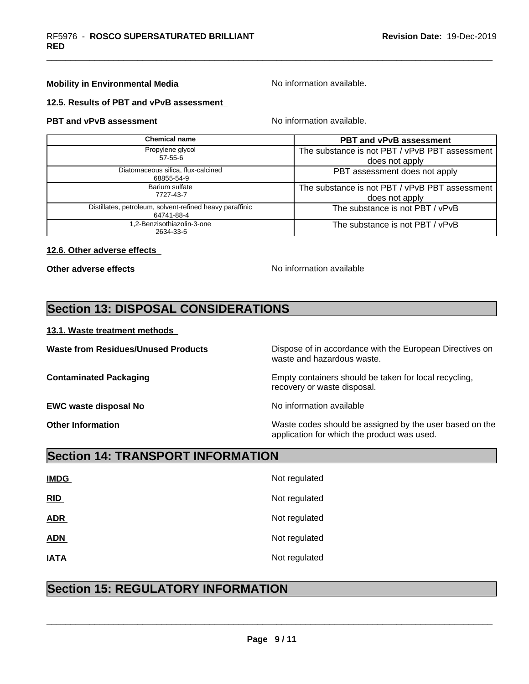## **Mobility in Environmental Media** Noinformation available.

#### **12.5. Results of PBT and vPvB assessment**

**PBT and vPvB assessment No information available.** 

| Chemical name                                                          | <b>PBT and vPvB assessment</b>                 |
|------------------------------------------------------------------------|------------------------------------------------|
| Propylene glycol                                                       | The substance is not PBT / vPvB PBT assessment |
| $57 - 55 - 6$                                                          | does not apply                                 |
| Diatomaceous silica, flux-calcined<br>68855-54-9                       | PBT assessment does not apply                  |
| Barium sulfate                                                         | The substance is not PBT / vPvB PBT assessment |
| 7727-43-7                                                              | does not apply                                 |
| Distillates, petroleum, solvent-refined heavy paraffinic<br>64741-88-4 | The substance is not PBT / vPvB                |
| .2-Benzisothiazolin-3-one<br>2634-33-5                                 | The substance is not PBT / vPvB                |

#### **12.6. Other adverse effects**

**Other adverse effects** No information available

# **Section 13: DISPOSAL CONSIDERATIONS**

#### **13.1. Waste treatment methods**

**EWC waste disposal No** Noinformation available

**Waste from Residues/Unused Products** Dispose of in accordance with the European Directives on waste and hazardous waste.

**Contaminated Packaging Empty containers should be taken for local recycling,** recovery or waste disposal.

 $\overline{\phantom{a}}$  ,  $\overline{\phantom{a}}$  ,  $\overline{\phantom{a}}$  ,  $\overline{\phantom{a}}$  ,  $\overline{\phantom{a}}$  ,  $\overline{\phantom{a}}$  ,  $\overline{\phantom{a}}$  ,  $\overline{\phantom{a}}$  ,  $\overline{\phantom{a}}$  ,  $\overline{\phantom{a}}$  ,  $\overline{\phantom{a}}$  ,  $\overline{\phantom{a}}$  ,  $\overline{\phantom{a}}$  ,  $\overline{\phantom{a}}$  ,  $\overline{\phantom{a}}$  ,  $\overline{\phantom{a}}$ 

**Other Information** Waste codes should be assigned by the user based on the application for which the product was used.

# **Section 14: TRANSPORT INFORMATION**

| <b>IMDG</b> | Not regulated |
|-------------|---------------|
| RID         | Not regulated |
| <b>ADR</b>  | Not regulated |
| <b>ADN</b>  | Not regulated |
| <b>IATA</b> | Not regulated |

# **Section 15: REGULATORY INFORMATION**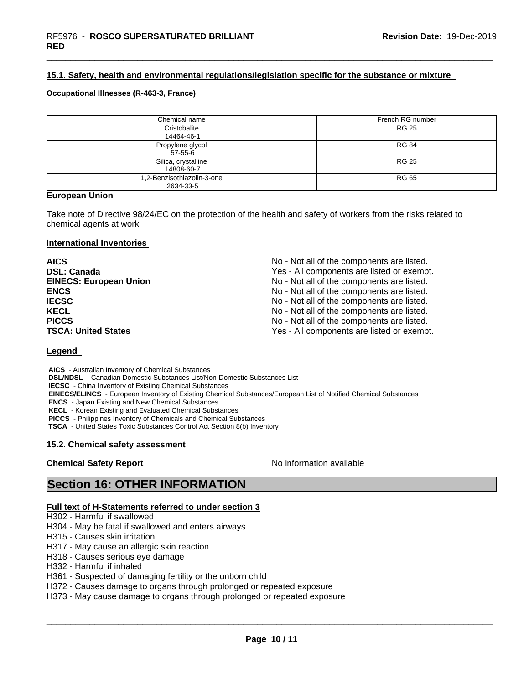# **15.1. Safety, health and environmental regulations/legislation specific for the substance or mixture**

#### **Occupational Illnesses (R-463-3, France)**

| Chemical name                           | French RG number |
|-----------------------------------------|------------------|
| Cristobalite<br>14464-46-1              | <b>RG 25</b>     |
| Propylene glycol<br>57-55-6             | <b>RG 84</b>     |
| Silica, crystalline<br>14808-60-7       | <b>RG 25</b>     |
| 1,2-Benzisothiazolin-3-one<br>2634-33-5 | RG 65            |

### **European Union**

Take note of Directive 98/24/EC on the protection of the health and safety of workers from the risks related to chemical agents at work

#### **International Inventories**

| <b>AICS</b>                   | No - Not all of the components are listed. |
|-------------------------------|--------------------------------------------|
| <b>DSL: Canada</b>            | Yes - All components are listed or exempt. |
| <b>EINECS: European Union</b> | No - Not all of the components are listed. |
| <b>ENCS</b>                   | No - Not all of the components are listed. |
| <b>IECSC</b>                  | No - Not all of the components are listed. |
| <b>KECL</b>                   | No - Not all of the components are listed. |
| <b>PICCS</b>                  | No - Not all of the components are listed. |
| <b>TSCA: United States</b>    | Yes - All components are listed or exempt. |

## **Legend**

 **AICS** - Australian Inventory of Chemical Substances  **DSL/NDSL** - Canadian Domestic Substances List/Non-Domestic Substances List  **IECSC** - China Inventory of Existing Chemical Substances  **EINECS/ELINCS** - European Inventory of Existing Chemical Substances/European List of Notified Chemical Substances  **ENCS** - Japan Existing and New Chemical Substances  **KECL** - Korean Existing and Evaluated Chemical Substances  **PICCS** - Philippines Inventory of Chemicals and Chemical Substances

 **TSCA** - United States Toxic Substances Control Act Section 8(b) Inventory

## **15.2. Chemical safety assessment**

## **Chemical Safety Report No information available**

 $\overline{\phantom{a}}$  ,  $\overline{\phantom{a}}$  ,  $\overline{\phantom{a}}$  ,  $\overline{\phantom{a}}$  ,  $\overline{\phantom{a}}$  ,  $\overline{\phantom{a}}$  ,  $\overline{\phantom{a}}$  ,  $\overline{\phantom{a}}$  ,  $\overline{\phantom{a}}$  ,  $\overline{\phantom{a}}$  ,  $\overline{\phantom{a}}$  ,  $\overline{\phantom{a}}$  ,  $\overline{\phantom{a}}$  ,  $\overline{\phantom{a}}$  ,  $\overline{\phantom{a}}$  ,  $\overline{\phantom{a}}$ 

# **Section 16: OTHER INFORMATION**

#### **Full text of H-Statements referred to under section 3**

- H302 Harmful if swallowed
- H304 May be fatal if swallowed and enters airways
- H315 Causes skin irritation
- H317 May cause an allergic skin reaction
- H318 Causes serious eye damage
- H332 Harmful if inhaled
- H361 Suspected of damaging fertility or the unborn child
- H372 Causes damage to organs through prolonged or repeated exposure
- H373 May cause damage to organs through prolonged or repeated exposure